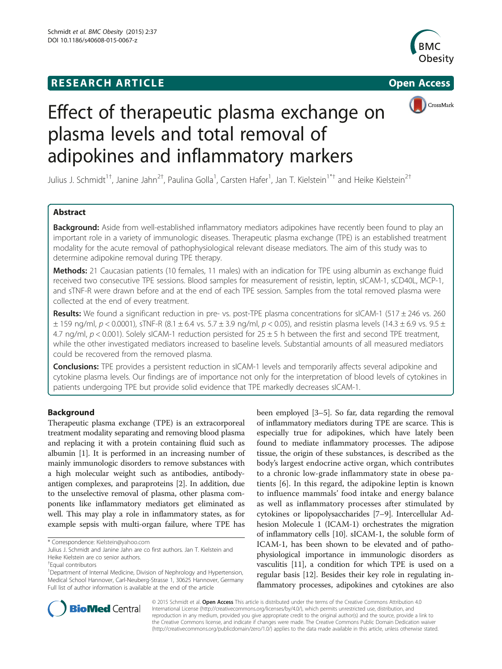# **RESEARCH ARTICLE Example 2014 The SEAR CH ACCESS**





# Effect of therapeutic plasma exchange on plasma levels and total removal of adipokines and inflammatory markers

Julius J. Schmidt $^{1+}$ , Janine Jahn $^{2+}$ , Paulina Golla $^1$ , Carsten Hafer $^1$ , Jan T. Kielstein $^{1*+}$  and Heike Kielstein $^{2+}$ 

# Abstract

Background: Aside from well-established inflammatory mediators adipokines have recently been found to play an important role in a variety of immunologic diseases. Therapeutic plasma exchange (TPE) is an established treatment modality for the acute removal of pathophysiological relevant disease mediators. The aim of this study was to determine adipokine removal during TPE therapy.

Methods: 21 Caucasian patients (10 females, 11 males) with an indication for TPE using albumin as exchange fluid received two consecutive TPE sessions. Blood samples for measurement of resistin, leptin, sICAM-1, sCD40L, MCP-1, and sTNF-R were drawn before and at the end of each TPE session. Samples from the total removed plasma were collected at the end of every treatment.

Results: We found a significant reduction in pre- vs. post-TPE plasma concentrations for sICAM-1 (517  $\pm$  246 vs. 260  $\pm$  159 ng/ml,  $p < 0.0001$ ), sTNF-R (8.1  $\pm$  6.4 vs. 5.7  $\pm$  3.9 ng/ml,  $p < 0.05$ ), and resistin plasma levels (14.3  $\pm$  6.9 vs. 9.5  $\pm$ 4.7 ng/ml,  $p < 0.001$ ). Solely sICAM-1 reduction persisted for  $25 \pm 5$  h between the first and second TPE treatment, while the other investigated mediators increased to baseline levels. Substantial amounts of all measured mediators could be recovered from the removed plasma.

Conclusions: TPE provides a persistent reduction in sICAM-1 levels and temporarily affects several adipokine and cytokine plasma levels. Our findings are of importance not only for the interpretation of blood levels of cytokines in patients undergoing TPE but provide solid evidence that TPE markedly decreases sICAM-1.

# Background

Therapeutic plasma exchange (TPE) is an extracorporeal treatment modality separating and removing blood plasma and replacing it with a protein containing fluid such as albumin [[1\]](#page-5-0). It is performed in an increasing number of mainly immunologic disorders to remove substances with a high molecular weight such as antibodies, antibodyantigen complexes, and paraproteins [\[2\]](#page-5-0). In addition, due to the unselective removal of plasma, other plasma components like inflammatory mediators get eliminated as well. This may play a role in inflammatory states, as for example sepsis with multi-organ failure, where TPE has

been employed [\[3](#page-5-0)–[5\]](#page-5-0). So far, data regarding the removal of inflammatory mediators during TPE are scarce. This is especially true for adipokines, which have lately been found to mediate inflammatory processes. The adipose tissue, the origin of these substances, is described as the body's largest endocrine active organ, which contributes to a chronic low-grade inflammatory state in obese patients [[6\]](#page-5-0). In this regard, the adipokine leptin is known to influence mammals' food intake and energy balance as well as inflammatory processes after stimulated by cytokines or lipopolysaccharides [[7](#page-5-0)–[9](#page-5-0)]. Intercellular Adhesion Molecule 1 (ICAM-1) orchestrates the migration of inflammatory cells [[10](#page-5-0)]. sICAM-1, the soluble form of ICAM-1, has been shown to be elevated and of pathophysiological importance in immunologic disorders as vasculitis [[11](#page-5-0)], a condition for which TPE is used on a regular basis [\[12](#page-5-0)]. Besides their key role in regulating inflammatory processes, adipokines and cytokines are also



© 2015 Schmidt et al. Open Access This article is distributed under the terms of the Creative Commons Attribution 4.0 International License [\(http://creativecommons.org/licenses/by/4.0/](http://creativecommons.org/licenses/by/4.0/)), which permits unrestricted use, distribution, and reproduction in any medium, provided you give appropriate credit to the original author(s) and the source, provide a link to the Creative Commons license, and indicate if changes were made. The Creative Commons Public Domain Dedication waiver [\(http://creativecommons.org/publicdomain/zero/1.0/](http://creativecommons.org/publicdomain/zero/1.0/)) applies to the data made available in this article, unless otherwise stated.

<sup>\*</sup> Correspondence: [Kielstein@yahoo.com](mailto:Kielstein@yahoo.com)

Julius J. Schmidt and Janine Jahn are co first authors. Jan T. Kielstein and Heike Kielstein are co senior authors.

<sup>†</sup> Equal contributors

<sup>&</sup>lt;sup>1</sup>Department of Internal Medicine, Division of Nephrology and Hypertension, Medical School Hannover, Carl-Neuberg-Strasse 1, 30625 Hannover, Germany Full list of author information is available at the end of the article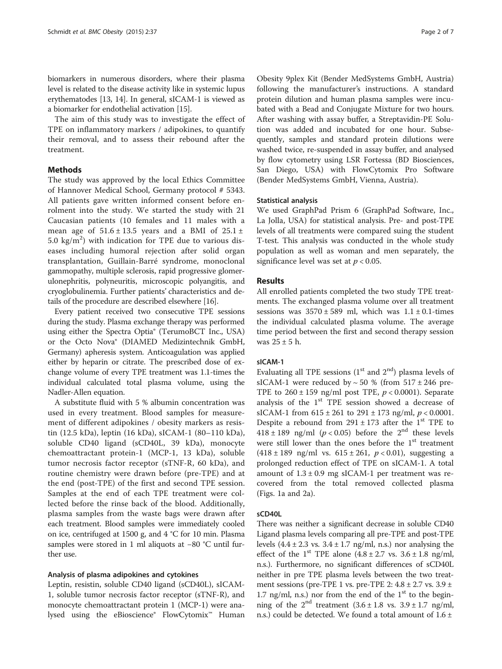biomarkers in numerous disorders, where their plasma level is related to the disease activity like in systemic lupus erythematodes [[13](#page-5-0), [14](#page-5-0)]. In general, sICAM-1 is viewed as a biomarker for endothelial activation [[15](#page-5-0)].

The aim of this study was to investigate the effect of TPE on inflammatory markers / adipokines, to quantify their removal, and to assess their rebound after the treatment.

# **Methods**

The study was approved by the local Ethics Committee of Hannover Medical School, Germany protocol # 5343. All patients gave written informed consent before enrolment into the study. We started the study with 21 Caucasian patients (10 females and 11 males with a mean age of  $51.6 \pm 13.5$  years and a BMI of  $25.1 \pm$ 5.0  $\text{kg/m}^2$ ) with indication for TPE due to various diseases including humoral rejection after solid organ transplantation, Guillain-Barré syndrome, monoclonal gammopathy, multiple sclerosis, rapid progressive glomerulonephritis, polyneuritis, microscopic polyangitis, and cryoglobulinemia. Further patients' characteristics and details of the procedure are described elsewhere [\[16](#page-5-0)].

Every patient received two consecutive TPE sessions during the study. Plasma exchange therapy was performed using either the Spectra Optia® (TerumoBCT Inc., USA) or the Octo Nova® (DIAMED Medizintechnik GmbH, Germany) apheresis system. Anticoagulation was applied either by heparin or citrate. The prescribed dose of exchange volume of every TPE treatment was 1.1-times the individual calculated total plasma volume, using the Nadler-Allen equation.

A substitute fluid with 5 % albumin concentration was used in every treatment. Blood samples for measurement of different adipokines / obesity markers as resistin (12.5 kDa), leptin (16 kDa), sICAM-1 (80–110 kDa), soluble CD40 ligand (sCD40L, 39 kDa), monocyte chemoattractant protein-1 (MCP-1, 13 kDa), soluble tumor necrosis factor receptor (sTNF-R, 60 kDa), and routine chemistry were drawn before (pre-TPE) and at the end (post-TPE) of the first and second TPE session. Samples at the end of each TPE treatment were collected before the rinse back of the blood. Additionally, plasma samples from the waste bags were drawn after each treatment. Blood samples were immediately cooled on ice, centrifuged at 1500 g, and 4 °C for 10 min. Plasma samples were stored in 1 ml aliquots at −80 °C until further use.

#### Analysis of plasma adipokines and cytokines

Leptin, resistin, soluble CD40 ligand (sCD40L), sICAM-1, soluble tumor necrosis factor receptor (sTNF-R), and monocyte chemoattractant protein 1 (MCP-1) were analysed using the eBioscience® FlowCytomix™ Human

Obesity 9plex Kit (Bender MedSystems GmbH, Austria) following the manufacturer's instructions. A standard protein dilution and human plasma samples were incubated with a Bead and Conjugate Mixture for two hours. After washing with assay buffer, a Streptavidin-PE Solution was added and incubated for one hour. Subsequently, samples and standard protein dilutions were washed twice, re-suspended in assay buffer, and analysed by flow cytometry using LSR Fortessa (BD Biosciences, San Diego, USA) with FlowCytomix Pro Software (Bender MedSystems GmbH, Vienna, Austria).

#### Statistical analysis

We used GraphPad Prism 6 (GraphPad Software, Inc., La Jolla, USA) for statistical analysis. Pre- and post-TPE levels of all treatments were compared suing the student T-test. This analysis was conducted in the whole study population as well as woman and men separately, the significance level was set at  $p < 0.05$ .

# Results

All enrolled patients completed the two study TPE treatments. The exchanged plasma volume over all treatment sessions was  $3570 \pm 589$  ml, which was  $1.1 \pm 0.1$ -times the individual calculated plasma volume. The average time period between the first and second therapy session was  $25 \pm 5$  h.

#### sICAM-1

Evaluating all TPE sessions  $(1<sup>st</sup>$  and  $2<sup>nd</sup>)$  plasma levels of sICAM-1 were reduced by  $\sim$  50 % (from 517  $\pm$  246 pre-TPE to  $260 \pm 159$  ng/ml post TPE,  $p < 0.0001$ ). Separate analysis of the 1<sup>st</sup> TPE session showed a decrease of sICAM-1 from  $615 \pm 261$  to  $291 \pm 173$  ng/ml,  $p < 0.0001$ . Despite a rebound from  $291 \pm 173$  after the 1<sup>st</sup> TPE to  $418 \pm 189$  ng/ml (p < 0.05) before the 2<sup>nd</sup> these levels were still lower than the ones before the  $1<sup>st</sup>$  treatment  $(418 \pm 189 \text{ ng/ml vs. } 615 \pm 261, p < 0.01)$ , suggesting a prolonged reduction effect of TPE on sICAM-1. A total amount of  $1.3 \pm 0.9$  mg sICAM-1 per treatment was recovered from the total removed collected plasma (Figs. [1a](#page-2-0) and [2a\)](#page-3-0).

#### sCD40L

There was neither a significant decrease in soluble CD40 Ligand plasma levels comparing all pre-TPE and post-TPE levels  $(4.4 \pm 2.3 \text{ vs. } 3.4 \pm 1.7 \text{ ng/ml, n.s.})$  nor analysing the effect of the 1<sup>st</sup> TPE alone  $(4.8 \pm 2.7 \text{ vs. } 3.6 \pm 1.8 \text{ ng/ml})$ , n.s.). Furthermore, no significant differences of sCD40L neither in pre TPE plasma levels between the two treatment sessions (pre-TPE 1 vs. pre-TPE 2:  $4.8 \pm 2.7$  vs.  $3.9 \pm$ 1.7 ng/ml, n.s.) nor from the end of the  $1<sup>st</sup>$  to the beginning of the  $2<sup>nd</sup>$  treatment  $(3.6 \pm 1.8 \text{ vs. } 3.9 \pm 1.7 \text{ ng/ml})$ n.s.) could be detected. We found a total amount of 1.6 ±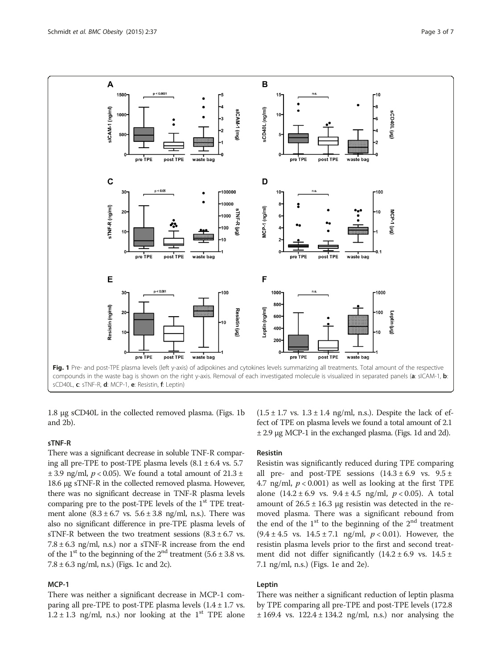<span id="page-2-0"></span>

1.8 μg sCD40L in the collected removed plasma. (Figs. 1b and [2b\)](#page-3-0).

# sTNF-R

There was a significant decrease in soluble TNF-R comparing all pre-TPE to post-TPE plasma levels  $(8.1 \pm 6.4 \text{ vs. } 5.7)$  $\pm$  3.9 ng/ml,  $p < 0.05$ ). We found a total amount of 21.3  $\pm$ 18.6 μg sTNF-R in the collected removed plasma. However, there was no significant decrease in TNF-R plasma levels comparing pre to the post-TPE levels of the  $1<sup>st</sup>$  TPE treatment alone  $(8.3 \pm 6.7 \text{ vs. } 5.6 \pm 3.8 \text{ ng/ml, n.s.})$ . There was also no significant difference in pre-TPE plasma levels of sTNF-R between the two treatment sessions  $(8.3 \pm 6.7 \text{ vs.})$  $7.8 \pm 6.3$  ng/ml, n.s.) nor a sTNF-R increase from the end of the 1<sup>st</sup> to the beginning of the 2<sup>nd</sup> treatment (5.6  $\pm$  3.8 vs.  $7.8 \pm 6.3$  ng/ml, n.s.) (Figs. 1c and [2c\)](#page-3-0).

# MCP-1

There was neither a significant decrease in MCP-1 comparing all pre-TPE to post-TPE plasma levels  $(1.4 \pm 1.7 \text{ vs.})$  $1.2 \pm 1.3$  ng/ml, n.s.) nor looking at the 1<sup>st</sup> TPE alone

 $(1.5 \pm 1.7 \text{ vs. } 1.3 \pm 1.4 \text{ ng/ml, n.s.).}$  Despite the lack of effect of TPE on plasma levels we found a total amount of 2.1 ± 2.9 μg MCP-1 in the exchanged plasma. (Figs. 1d and [2d\)](#page-3-0).

# Resistin

Resistin was significantly reduced during TPE comparing all pre- and post-TPE sessions  $(14.3 \pm 6.9 \text{ vs. } 9.5 \pm 1)$ 4.7 ng/ml,  $p < 0.001$ ) as well as looking at the first TPE alone  $(14.2 \pm 6.9 \text{ vs. } 9.4 \pm 4.5 \text{ ng/ml}, p < 0.05)$ . A total amount of  $26.5 \pm 16.3$  μg resistin was detected in the removed plasma. There was a significant rebound from the end of the 1<sup>st</sup> to the beginning of the 2<sup>nd</sup> treatment  $(9.4 \pm 4.5 \text{ vs. } 14.5 \pm 7.1 \text{ ng/ml}, p < 0.01)$ . However, the resistin plasma levels prior to the first and second treatment did not differ significantly  $(14.2 \pm 6.9 \text{ vs. } 14.5 \pm$ 7.1 ng/ml, n.s.) (Figs. 1e and [2e\)](#page-3-0).

# Leptin

There was neither a significant reduction of leptin plasma by TPE comparing all pre-TPE and post-TPE levels (172.8 ± 169.4 vs. 122.4 ± 134.2 ng/ml, n.s.) nor analysing the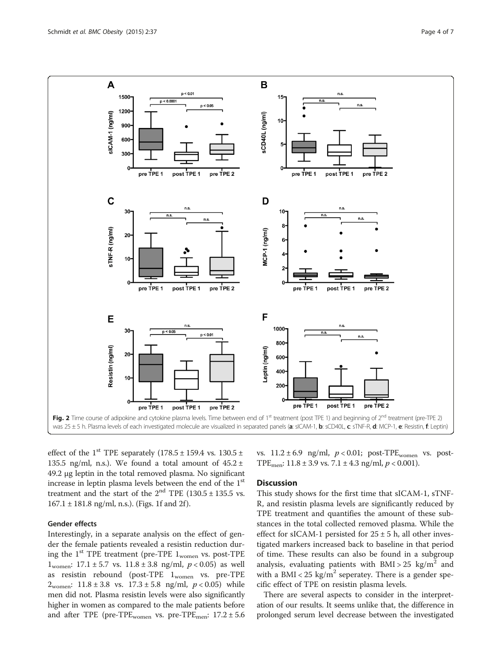<span id="page-3-0"></span>

effect of the 1<sup>st</sup> TPE separately (178.5  $\pm$  159.4 vs. 130.5  $\pm$ 135.5 ng/ml, n.s.). We found a total amount of  $45.2 \pm$ 49.2 μg leptin in the total removed plasma. No significant increase in leptin plasma levels between the end of the 1<sup>st</sup> treatment and the start of the  $2<sup>nd</sup>$  TPE (130.5 ± 135.5 vs.  $167.1 \pm 181.8$  ng/ml, n.s.). (Figs. [1f](#page-2-0) and 2f).

#### Gender effects

Interestingly, in a separate analysis on the effect of gender the female patients revealed a resistin reduction during the  $1<sup>st</sup>$  TPE treatment (pre-TPE  $1<sub>women</sub>$  vs. post-TPE  $1_{\text{women}}$ : 17.1 ± 5.7 vs. 11.8 ± 3.8 ng/ml,  $p < 0.05$ ) as well as resistin rebound (post-TPE  $1_{\text{women}}$  vs. pre-TPE  $2_{\text{women}}$ :  $11.8 \pm 3.8$  vs.  $17.3 \pm 5.8$  ng/ml,  $p < 0.05$ ) while men did not. Plasma resistin levels were also significantly higher in women as compared to the male patients before and after TPE (pre-TPE<sub>women</sub> vs. pre-TPE<sub>men</sub>:  $17.2 \pm 5.6$  vs.  $11.2 \pm 6.9$  ng/ml,  $p < 0.01$ ; post-TPE<sub>women</sub> vs. post-TPE<sub>men</sub>:  $11.8 \pm 3.9$  vs.  $7.1 \pm 4.3$  ng/ml,  $p < 0.001$ ).

#### **Discussion**

This study shows for the first time that sICAM-1, sTNF-R, and resistin plasma levels are significantly reduced by TPE treatment and quantifies the amount of these substances in the total collected removed plasma. While the effect for sICAM-1 persisted for  $25 \pm 5$  h, all other investigated markers increased back to baseline in that period of time. These results can also be found in a subgroup analysis, evaluating patients with  $BMI > 25$  kg/m<sup>2</sup> and with a BMI <  $25 \text{ kg/m}^2$  seperatey. There is a gender specific effect of TPE on resistin plasma levels.

There are several aspects to consider in the interpretation of our results. It seems unlike that, the difference in prolonged serum level decrease between the investigated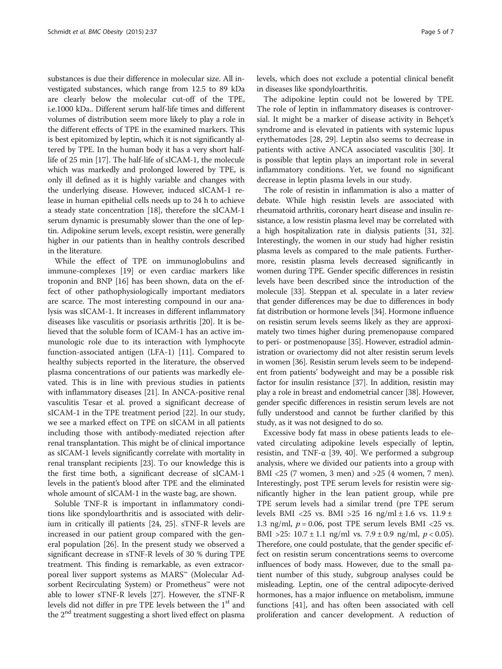substances is due their difference in molecular size. All investigated substances, which range from 12.5 to 89 kDa are clearly below the molecular cut-off of the TPE, i.e.1000 kDa.. Different serum half-life times and different volumes of distribution seem more likely to play a role in the different effects of TPE in the examined markers. This is best epitomized by leptin, which it is not significantly altered by TPE. In the human body it has a very short halflife of 25 min [\[17\]](#page-5-0). The half-life of sICAM-1, the molecule which was markedly and prolonged lowered by TPE, is only ill defined as it is highly variable and changes with the underlying disease. However, induced sICAM-1 release in human epithelial cells needs up to 24 h to achieve a steady state concentration [[18](#page-6-0)], therefore the sICAM-1 serum dynamic is presumably slower than the one of leptin. Adipokine serum levels, except resistin, were generally higher in our patients than in healthy controls described in the literature.

While the effect of TPE on immunoglobulins and immune-complexes [[19\]](#page-6-0) or even cardiac markers like troponin and BNP [[16\]](#page-5-0) has been shown, data on the effect of other pathophysiologically important mediators are scarce. The most interesting compound in our analysis was sICAM-1. It increases in different inflammatory diseases like vasculitis or psoriasis arthritis [[20\]](#page-6-0). It is believed that the soluble form of ICAM-1 has an active immunologic role due to its interaction with lymphocyte function-associated antigen (LFA-1) [[11\]](#page-5-0). Compared to healthy subjects reported in the literature, the observed plasma concentrations of our patients was markedly elevated. This is in line with previous studies in patients with inflammatory diseases [\[21\]](#page-6-0). In ANCA-positive renal vasculitis Tesar et al. proved a significant decrease of sICAM-1 in the TPE treatment period [[22\]](#page-6-0). In our study, we see a marked effect on TPE on sICAM in all patients including those with antibody-mediated rejection after renal transplantation. This might be of clinical importance as sICAM-1 levels significantly correlate with mortality in renal transplant recipients [\[23](#page-6-0)]. To our knowledge this is the first time both, a significant decrease of sICAM-1 levels in the patient's blood after TPE and the eliminated whole amount of sICAM-1 in the waste bag, are shown.

Soluble TNF-R is important in inflammatory conditions like spondyloarthritis and is associated with delirium in critically ill patients [[24](#page-6-0), [25\]](#page-6-0). sTNF-R levels are increased in our patient group compared with the general population [[26\]](#page-6-0). In the present study we observed a significant decrease in sTNF-R levels of 30 % during TPE treatment. This finding is remarkable, as even extracorporeal liver support systems as MARS™ (Molecular Adsorbent Recirculating System) or Prometheus™ were not able to lower sTNF-R levels [\[27\]](#page-6-0). However, the sTNF-R levels did not differ in pre TPE levels between the 1<sup>st</sup> and the 2<sup>nd</sup> treatment suggesting a short lived effect on plasma levels, which does not exclude a potential clinical benefit in diseases like spondyloarthritis.

The adipokine leptin could not be lowered by TPE. The role of leptin in inflammatory diseases is controversial. It might be a marker of disease activity in Behçet's syndrome and is elevated in patients with systemic lupus erythematodes [[28, 29\]](#page-6-0). Leptin also seems to decrease in patients with active ANCA associated vasculitis [[30\]](#page-6-0). It is possible that leptin plays an important role in several inflammatory conditions. Yet, we found no significant decrease in leptin plasma levels in our study.

The role of resistin in inflammation is also a matter of debate. While high resistin levels are associated with rheumatoid arthritis, coronary heart disease and insulin resistance, a low resistin plasma level may be correlated with a high hospitalization rate in dialysis patients [[31](#page-6-0), [32](#page-6-0)]. Interestingly, the women in our study had higher resistin plasma levels as compared to the male patients. Furthermore, resistin plasma levels decreased significantly in women during TPE. Gender specific differences in resistin levels have been described since the introduction of the molecule [\[33\]](#page-6-0). Steppan et al. speculate in a later review that gender differences may be due to differences in body fat distribution or hormone levels [[34](#page-6-0)]. Hormone influence on resistin serum levels seems likely as they are approximately two times higher during premenopause compared to peri- or postmenopause [\[35\]](#page-6-0). However, estradiol administration or ovariectomy did not alter resistin serum levels in women [\[36\]](#page-6-0). Resistin serum levels seem to be independent from patients' bodyweight and may be a possible risk factor for insulin resistance [[37](#page-6-0)]. In addition, resistin may play a role in breast and endometrial cancer [\[38\]](#page-6-0). However, gender specific differences in resistin serum levels are not fully understood and cannot be further clarified by this study, as it was not designed to do so.

Excessive body fat mass in obese patients leads to elevated circulating adipokine levels especially of leptin, resistin, and TNF- $\alpha$  [\[39](#page-6-0), [40\]](#page-6-0). We performed a subgroup analysis, where we divided our patients into a group with BMI <25 (7 women, 3 men) and >25 (4 women, 7 men). Interestingly, post TPE serum levels for resistin were significantly higher in the lean patient group, while pre TPE serum levels had a similar trend (pre TPE serum levels BMI <25 vs. BMI >25 16 ng/ml  $\pm$  1.6 vs. 11.9  $\pm$ 1.3 ng/ml,  $p = 0.06$ , post TPE serum levels BMI <25 vs. BMI >25: 10.7 ± 1.1 ng/ml vs. 7.9 ± 0.9 ng/ml,  $p < 0.05$ ). Therefore, one could postulate, that the gender specific effect on resistin serum concentrations seems to overcome influences of body mass. However, due to the small patient number of this study, subgroup analyses could be misleading. Leptin, one of the central adipocyte-derived hormones, has a major influence on metabolism, immune functions [\[41\]](#page-6-0), and has often been associated with cell proliferation and cancer development. A reduction of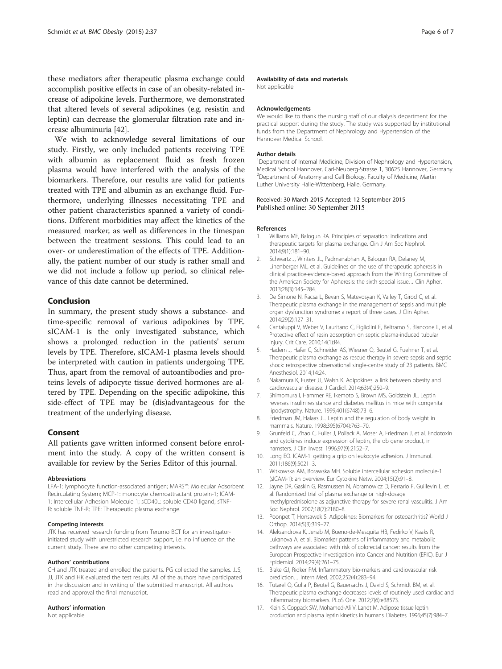<span id="page-5-0"></span>these mediators after therapeutic plasma exchange could accomplish positive effects in case of an obesity-related increase of adipokine levels. Furthermore, we demonstrated that altered levels of several adipokines (e.g. resistin and leptin) can decrease the glomerular filtration rate and increase albuminuria [\[42\]](#page-6-0).

We wish to acknowledge several limitations of our study. Firstly, we only included patients receiving TPE with albumin as replacement fluid as fresh frozen plasma would have interfered with the analysis of the biomarkers. Therefore, our results are valid for patients treated with TPE and albumin as an exchange fluid. Furthermore, underlying illnesses necessitating TPE and other patient characteristics spanned a variety of conditions. Different morbidities may affect the kinetics of the measured marker, as well as differences in the timespan between the treatment sessions. This could lead to an over- or underestimation of the effects of TPE. Additionally, the patient number of our study is rather small and we did not include a follow up period, so clinical relevance of this date cannot be determined.

#### Conclusion

In summary, the present study shows a substance- and time-specific removal of various adipokines by TPE. sICAM-1 is the only investigated substance, which shows a prolonged reduction in the patients' serum levels by TPE. Therefore, sICAM-1 plasma levels should be interpreted with caution in patients undergoing TPE. Thus, apart from the removal of autoantibodies and proteins levels of adipocyte tissue derived hormones are altered by TPE. Depending on the specific adipokine, this side-effect of TPE may be (dis)advantageous for the treatment of the underlying disease.

# Consent

All patients gave written informed consent before enrolment into the study. A copy of the written consent is available for review by the Series Editor of this journal.

#### Abbreviations

LFA-1: lymphocyte function-associated antigen; MARS™: Molecular Adsorbent Recirculating System; MCP-1: monocyte chemoattractant protein-1; ICAM-1: Intercellular Adhesion Molecule 1; sCD40L: soluble CD40 ligand; sTNF-R: soluble TNF-R; TPE: Therapeutic plasma exchange.

#### Competing interests

JTK has received research funding from Terumo BCT for an investigatorinitiated study with unrestricted research support, i.e. no influence on the current study. There are no other competing interests.

#### Authors' contributions

CH and JTK treated and enrolled the patients. PG collected the samples. JJS, JJ, JTK and HK evaluated the test results. All of the authors have participated in the discussion and in writing of the submitted manuscript. All authors read and approval the final manuscript.

#### Authors' information

Not applicable

#### Availability of data and materials

Not applicable

#### Acknowledgements

We would like to thank the nursing staff of our dialysis department for the practical support during the study. The study was supported by institutional funds from the Department of Nephrology and Hypertension of the Hannover Medical School.

#### Author details

<sup>1</sup>Department of Internal Medicine, Division of Nephrology and Hypertension Medical School Hannover, Carl-Neuberg-Strasse 1, 30625 Hannover, Germany. <sup>2</sup> Department of Anatomy and Cell Biology, Faculty of Medicine, Martin Luther University Halle-Wittenberg, Halle, Germany.

#### Received: 30 March 2015 Accepted: 12 September 2015 Published online: 30 September 2015

#### References

- 1. Williams ME, Balogun RA. Principles of separation: indications and therapeutic targets for plasma exchange. Clin J Am Soc Nephrol. 2014;9(1):181–90.
- 2. Schwartz J, Winters JL, Padmanabhan A, Balogun RA, Delaney M, Linenberger ML, et al. Guidelines on the use of therapeutic apheresis in clinical practice-evidence-based approach from the Writing Committee of the American Society for Apheresis: the sixth special issue. J Clin Apher. 2013;28(3):145–284.
- 3. De Simone N, Racsa L, Bevan S, Matevosyan K, Valley T, Girod C, et al. Therapeutic plasma exchange in the management of sepsis and multiple organ dysfunction syndrome: a report of three cases. J Clin Apher. 2014;29(2):127–31.
- 4. Cantaluppi V, Weber V, Lauritano C, Figliolini F, Beltramo S, Biancone L, et al. Protective effect of resin adsorption on septic plasma-induced tubular injury. Crit Care. 2010;14(1):R4.
- 5. Hadem J, Hafer C, Schneider AS, Wiesner O, Beutel G, Fuehner T, et al. Therapeutic plasma exchange as rescue therapy in severe sepsis and septic shock: retrospective observational single-centre study of 23 patients. BMC Anesthesiol. 2014;14:24.
- 6. Nakamura K, Fuster JJ, Walsh K. Adipokines: a link between obesity and cardiovascular disease. J Cardiol. 2014;63(4):250–9.
- 7. Shimomura I, Hammer RE, Ikemoto S, Brown MS, Goldstein JL. Leptin reverses insulin resistance and diabetes mellitus in mice with congenital lipodystrophy. Nature. 1999;401(6748):73–6.
- 8. Friedman JM, Halaas JL. Leptin and the regulation of body weight in mammals. Nature. 1998;395(6704):763–70.
- 9. Grunfeld C, Zhao C, Fuller J, Pollack A, Moser A, Friedman J, et al. Endotoxin and cytokines induce expression of leptin, the ob gene product, in hamsters. J Clin Invest. 1996;97(9):2152–7.
- 10. Long EO. ICAM-1: getting a grip on leukocyte adhesion. J Immunol. 2011;186(9):5021–3.
- 11. Witkowska AM, Borawska MH. Soluble intercellular adhesion molecule-1 (sICAM-1): an overview. Eur Cytokine Netw. 2004;15(2):91–8.
- 12. Jayne DR, Gaskin G, Rasmussen N, Abramowicz D, Ferrario F, Guillevin L, et al. Randomized trial of plasma exchange or high-dosage methylprednisolone as adjunctive therapy for severe renal vasculitis. J Am Soc Nephrol. 2007;18(7):2180–8.
- 13. Poonpet T, Honsawek S. Adipokines: Biomarkers for osteoarthritis? World J Orthop. 2014;5(3):319–27.
- 14. Aleksandrova K, Jenab M, Bueno-de-Mesquita HB, Fedirko V, Kaaks R, Lukanova A, et al. Biomarker patterns of inflammatory and metabolic pathways are associated with risk of colorectal cancer: results from the European Prospective Investigation into Cancer and Nutrition (EPIC). Eur J Epidemiol. 2014;29(4):261–75.
- 15. Blake GJ, Ridker PM. Inflammatory bio-markers and cardiovascular risk prediction. J Intern Med. 2002;252(4):283–94.
- 16. Tutarel O, Golla P, Beutel G, Bauersachs J, David S, Schmidt BM, et al. Therapeutic plasma exchange decreases levels of routinely used cardiac and inflammatory biomarkers. PLoS One. 2012;7(6):e38573.
- 17. Klein S, Coppack SW, Mohamed-Ali V, Landt M. Adipose tissue leptin production and plasma leptin kinetics in humans. Diabetes. 1996;45(7):984–7.